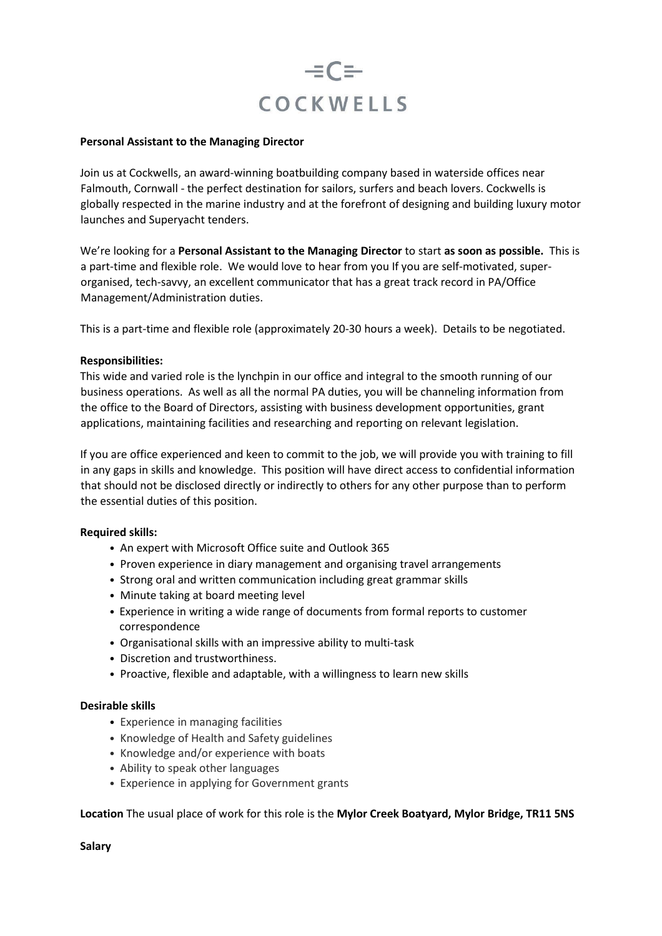

#### **Personal Assistant to the Managing Director**

Join us at Cockwells, an award-winning boatbuilding company based in waterside offices near Falmouth, Cornwall - the perfect destination for sailors, surfers and beach lovers. Cockwells is globally respected in the marine industry and at the forefront of designing and building luxury motor launches and Superyacht tenders.

We're looking for a **Personal Assistant to the Managing Director** to start **as soon as possible.** This is a part-time and flexible role. We would love to hear from you If you are self-motivated, superorganised, tech-savvy, an excellent communicator that has a great track record in PA/Office Management/Administration duties.

This is a part-time and flexible role (approximately 20-30 hours a week). Details to be negotiated.

#### **Responsibilities:**

This wide and varied role is the lynchpin in our office and integral to the smooth running of our business operations. As well as all the normal PA duties, you will be channeling information from the office to the Board of Directors, assisting with business development opportunities, grant applications, maintaining facilities and researching and reporting on relevant legislation.

If you are office experienced and keen to commit to the job, we will provide you with training to fill in any gaps in skills and knowledge. This position will have direct access to confidential information that should not be disclosed directly or indirectly to others for any other purpose than to perform the essential duties of this position.

#### **Required skills:**

- An expert with Microsoft Office suite and Outlook 365
- Proven experience in diary management and organising travel arrangements
- Strong oral and written communication including great grammar skills
- Minute taking at board meeting level
- Experience in writing a wide range of documents from formal reports to customer correspondence
- Organisational skills with an impressive ability to multi-task
- Discretion and trustworthiness.
- Proactive, flexible and adaptable, with a willingness to learn new skills

## **Desirable skills**

- Experience in managing facilities
- Knowledge of Health and Safety guidelines
- Knowledge and/or experience with boats
- Ability to speak other languages
- Experience in applying for Government grants

## **Location** The usual place of work for this role is the **Mylor Creek Boatyard, Mylor Bridge, TR11 5NS**

**Salary**